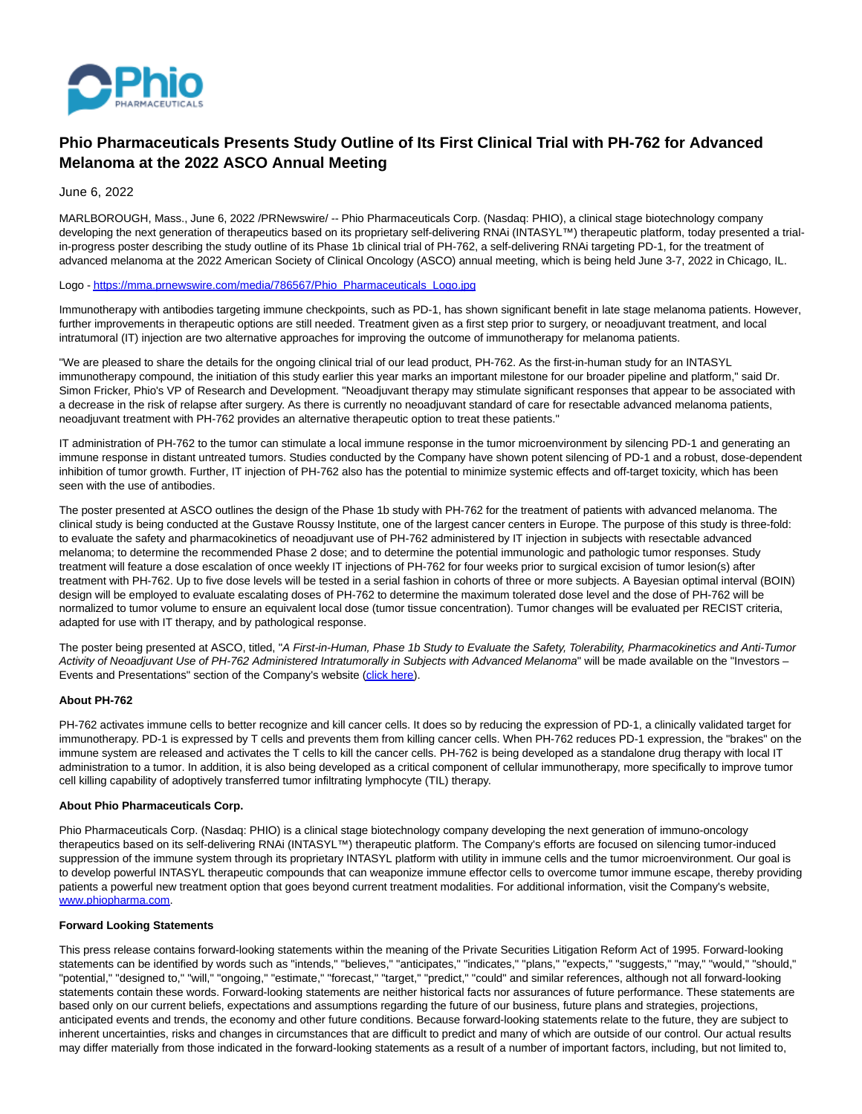

# **Phio Pharmaceuticals Presents Study Outline of Its First Clinical Trial with PH-762 for Advanced Melanoma at the 2022 ASCO Annual Meeting**

June 6, 2022

MARLBOROUGH, Mass., June 6, 2022 /PRNewswire/ -- Phio Pharmaceuticals Corp. (Nasdaq: PHIO), a clinical stage biotechnology company developing the next generation of therapeutics based on its proprietary self-delivering RNAi (INTASYL™) therapeutic platform, today presented a trialin-progress poster describing the study outline of its Phase 1b clinical trial of PH-762, a self-delivering RNAi targeting PD-1, for the treatment of advanced melanoma at the 2022 American Society of Clinical Oncology (ASCO) annual meeting, which is being held June 3-7, 2022 in Chicago, IL.

## Logo [- https://mma.prnewswire.com/media/786567/Phio\\_Pharmaceuticals\\_Logo.jpg](https://c212.net/c/link/?t=0&l=en&o=3557065-1&h=3988503332&u=https%3A%2F%2Fmma.prnewswire.com%2Fmedia%2F786567%2FPhio_Pharmaceuticals_Logo.jpg&a=https%3A%2F%2Fmma.prnewswire.com%2Fmedia%2F786567%2FPhio_Pharmaceuticals_Logo.jpg)

Immunotherapy with antibodies targeting immune checkpoints, such as PD-1, has shown significant benefit in late stage melanoma patients. However, further improvements in therapeutic options are still needed. Treatment given as a first step prior to surgery, or neoadjuvant treatment, and local intratumoral (IT) injection are two alternative approaches for improving the outcome of immunotherapy for melanoma patients.

"We are pleased to share the details for the ongoing clinical trial of our lead product, PH-762. As the first-in-human study for an INTASYL immunotherapy compound, the initiation of this study earlier this year marks an important milestone for our broader pipeline and platform," said Dr. Simon Fricker, Phio's VP of Research and Development. "Neoadjuvant therapy may stimulate significant responses that appear to be associated with a decrease in the risk of relapse after surgery. As there is currently no neoadjuvant standard of care for resectable advanced melanoma patients, neoadjuvant treatment with PH-762 provides an alternative therapeutic option to treat these patients."

IT administration of PH-762 to the tumor can stimulate a local immune response in the tumor microenvironment by silencing PD-1 and generating an immune response in distant untreated tumors. Studies conducted by the Company have shown potent silencing of PD-1 and a robust, dose-dependent inhibition of tumor growth. Further, IT injection of PH-762 also has the potential to minimize systemic effects and off-target toxicity, which has been seen with the use of antibodies.

The poster presented at ASCO outlines the design of the Phase 1b study with PH-762 for the treatment of patients with advanced melanoma. The clinical study is being conducted at the Gustave Roussy Institute, one of the largest cancer centers in Europe. The purpose of this study is three-fold: to evaluate the safety and pharmacokinetics of neoadjuvant use of PH-762 administered by IT injection in subjects with resectable advanced melanoma; to determine the recommended Phase 2 dose; and to determine the potential immunologic and pathologic tumor responses. Study treatment will feature a dose escalation of once weekly IT injections of PH-762 for four weeks prior to surgical excision of tumor lesion(s) after treatment with PH-762. Up to five dose levels will be tested in a serial fashion in cohorts of three or more subjects. A Bayesian optimal interval (BOIN) design will be employed to evaluate escalating doses of PH-762 to determine the maximum tolerated dose level and the dose of PH-762 will be normalized to tumor volume to ensure an equivalent local dose (tumor tissue concentration). Tumor changes will be evaluated per RECIST criteria, adapted for use with IT therapy, and by pathological response.

The poster being presented at ASCO, titled, "A First-in-Human, Phase 1b Study to Evaluate the Safety, Tolerability, Pharmacokinetics and Anti-Tumor Activity of Neoadjuvant Use of PH-762 Administered Intratumorally in Subjects with Advanced Melanoma" will be made available on the "Investors – Events and Presentations" section of the Company's website [\(click here\).](https://c212.net/c/link/?t=0&l=en&o=3557065-1&h=812743672&u=https%3A%2F%2Fc212.net%2Fc%2Flink%2F%3Ft%3D0%26l%3Den%26o%3D3536723-1%26h%3D3690460825%26u%3Dhttps%253A%252F%252Fc212.net%252Fc%252Flink%252F%253Ft%253D0%2526l%253Den%2526o%253D3315172-1%2526h%253D3315455396%2526u%253Dhttp%25253A%25252F%25252Finvestors.phiopharma.com%25252Fevents-and-presentations%25252Fevents%2526a%253Dclick%252Bhere)%26a%3Dclick%2Bhere&a=click+here)

## **About PH-762**

PH-762 activates immune cells to better recognize and kill cancer cells. It does so by reducing the expression of PD-1, a clinically validated target for immunotherapy. PD-1 is expressed by T cells and prevents them from killing cancer cells. When PH-762 reduces PD-1 expression, the "brakes" on the immune system are released and activates the T cells to kill the cancer cells. PH-762 is being developed as a standalone drug therapy with local IT administration to a tumor. In addition, it is also being developed as a critical component of cellular immunotherapy, more specifically to improve tumor cell killing capability of adoptively transferred tumor infiltrating lymphocyte (TIL) therapy.

## **About Phio Pharmaceuticals Corp.**

Phio Pharmaceuticals Corp. (Nasdaq: PHIO) is a clinical stage biotechnology company developing the next generation of immuno-oncology therapeutics based on its self-delivering RNAi (INTASYL™) therapeutic platform. The Company's efforts are focused on silencing tumor-induced suppression of the immune system through its proprietary INTASYL platform with utility in immune cells and the tumor microenvironment. Our goal is to develop powerful INTASYL therapeutic compounds that can weaponize immune effector cells to overcome tumor immune escape, thereby providing patients a powerful new treatment option that goes beyond current treatment modalities. For additional information, visit the Company's website, [www.phiopharma.com.](https://c212.net/c/link/?t=0&l=en&o=3557065-1&h=3332185922&u=http%3A%2F%2Fwww.phiopharma.com%2F&a=www.phiopharma.com)

## **Forward Looking Statements**

This press release contains forward-looking statements within the meaning of the Private Securities Litigation Reform Act of 1995. Forward-looking statements can be identified by words such as "intends," "believes," "anticipates," "indicates," "plans," "expects," "suggests," "may," "would," "should," "potential," "designed to," "will," "ongoing," "estimate," "forecast," "target," "predict," "could" and similar references, although not all forward-looking statements contain these words. Forward-looking statements are neither historical facts nor assurances of future performance. These statements are based only on our current beliefs, expectations and assumptions regarding the future of our business, future plans and strategies, projections, anticipated events and trends, the economy and other future conditions. Because forward-looking statements relate to the future, they are subject to inherent uncertainties, risks and changes in circumstances that are difficult to predict and many of which are outside of our control. Our actual results may differ materially from those indicated in the forward-looking statements as a result of a number of important factors, including, but not limited to,